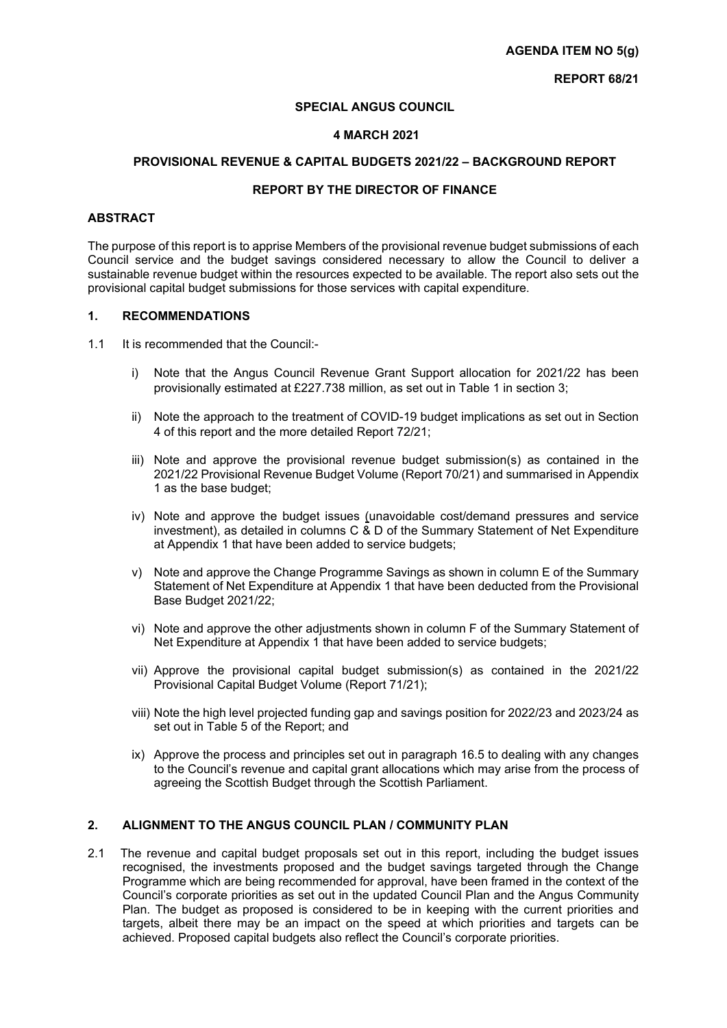#### **SPECIAL ANGUS COUNCIL**

#### **4 MARCH 2021**

#### **PROVISIONAL REVENUE & CAPITAL BUDGETS 2021/22 – BACKGROUND REPORT**

#### **REPORT BY THE DIRECTOR OF FINANCE**

#### **ABSTRACT**

The purpose of this report is to apprise Members of the provisional revenue budget submissions of each Council service and the budget savings considered necessary to allow the Council to deliver a sustainable revenue budget within the resources expected to be available. The report also sets out the provisional capital budget submissions for those services with capital expenditure.

#### **1. RECOMMENDATIONS**

- 1.1 It is recommended that the Council:
	- i) Note that the Angus Council Revenue Grant Support allocation for 2021/22 has been provisionally estimated at £227.738 million, as set out in Table 1 in section 3;
	- ii) Note the approach to the treatment of COVID-19 budget implications as set out in Section 4 of this report and the more detailed Report 72/21;
	- iii) Note and approve the provisional revenue budget submission(s) as contained in the 2021/22 Provisional Revenue Budget Volume (Report 70/21) and summarised in Appendix 1 as the base budget;
	- iv) Note and approve the budget issues (unavoidable cost/demand pressures and service investment), as detailed in columns C & D of the Summary Statement of Net Expenditure at Appendix 1 that have been added to service budgets;
	- v) Note and approve the Change Programme Savings as shown in column E of the Summary Statement of Net Expenditure at Appendix 1 that have been deducted from the Provisional Base Budget 2021/22;
	- vi) Note and approve the other adjustments shown in column F of the Summary Statement of Net Expenditure at Appendix 1 that have been added to service budgets;
	- vii) Approve the provisional capital budget submission(s) as contained in the 2021/22 Provisional Capital Budget Volume (Report 71/21);
	- viii) Note the high level projected funding gap and savings position for 2022/23 and 2023/24 as set out in Table 5 of the Report; and
	- ix) Approve the process and principles set out in paragraph 16.5 to dealing with any changes to the Council's revenue and capital grant allocations which may arise from the process of agreeing the Scottish Budget through the Scottish Parliament.

# **2. ALIGNMENT TO THE ANGUS COUNCIL PLAN / COMMUNITY PLAN**

2.1 The revenue and capital budget proposals set out in this report, including the budget issues recognised, the investments proposed and the budget savings targeted through the Change Programme which are being recommended for approval, have been framed in the context of the Council's corporate priorities as set out in the updated Council Plan and the Angus Community Plan. The budget as proposed is considered to be in keeping with the current priorities and targets, albeit there may be an impact on the speed at which priorities and targets can be achieved. Proposed capital budgets also reflect the Council's corporate priorities.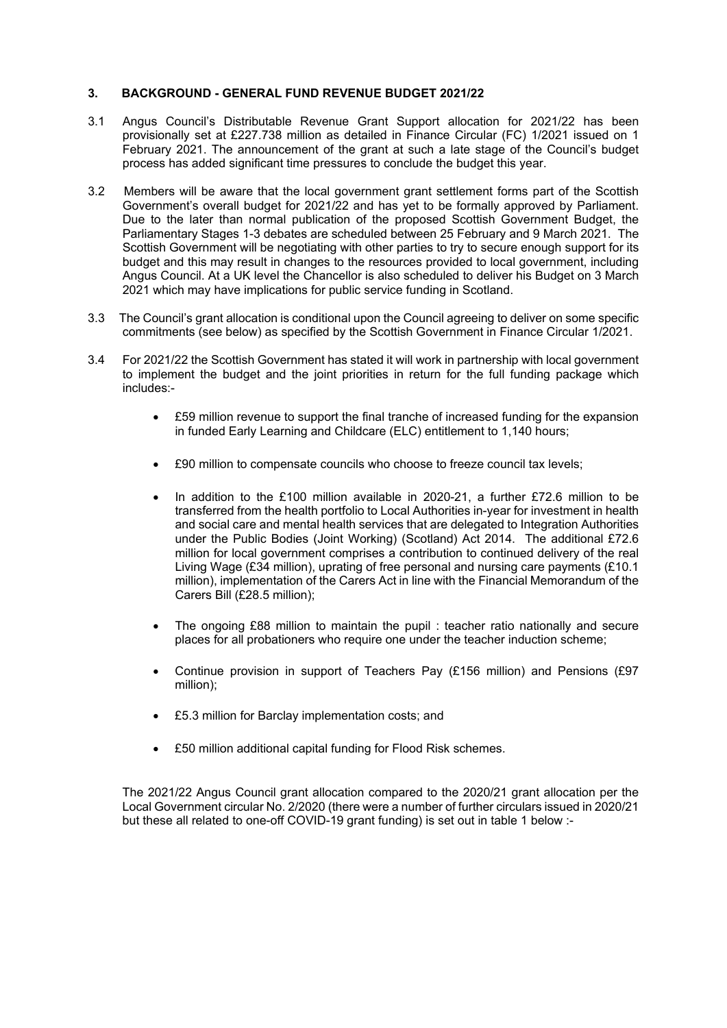## **3. BACKGROUND - GENERAL FUND REVENUE BUDGET 2021/22**

- 3.1 Angus Council's Distributable Revenue Grant Support allocation for 2021/22 has been provisionally set at £227.738 million as detailed in Finance Circular (FC) 1/2021 issued on 1 February 2021. The announcement of the grant at such a late stage of the Council's budget process has added significant time pressures to conclude the budget this year.
- 3.2 Members will be aware that the local government grant settlement forms part of the Scottish Government's overall budget for 2021/22 and has yet to be formally approved by Parliament. Due to the later than normal publication of the proposed Scottish Government Budget, the Parliamentary Stages 1-3 debates are scheduled between 25 February and 9 March 2021. The Scottish Government will be negotiating with other parties to try to secure enough support for its budget and this may result in changes to the resources provided to local government, including Angus Council. At a UK level the Chancellor is also scheduled to deliver his Budget on 3 March 2021 which may have implications for public service funding in Scotland.
- 3.3 The Council's grant allocation is conditional upon the Council agreeing to deliver on some specific commitments (see below) as specified by the Scottish Government in Finance Circular 1/2021.
- 3.4 For 2021/22 the Scottish Government has stated it will work in partnership with local government to implement the budget and the joint priorities in return for the full funding package which includes:-
	- £59 million revenue to support the final tranche of increased funding for the expansion in funded Early Learning and Childcare (ELC) entitlement to 1,140 hours;
	- £90 million to compensate councils who choose to freeze council tax levels;
	- In addition to the £100 million available in 2020-21, a further £72.6 million to be transferred from the health portfolio to Local Authorities in-year for investment in health and social care and mental health services that are delegated to Integration Authorities under the Public Bodies (Joint Working) (Scotland) Act 2014. The additional £72.6 million for local government comprises a contribution to continued delivery of the real Living Wage (£34 million), uprating of free personal and nursing care payments (£10.1 million), implementation of the Carers Act in line with the Financial Memorandum of the Carers Bill (£28.5 million);
	- The ongoing £88 million to maintain the pupil : teacher ratio nationally and secure places for all probationers who require one under the teacher induction scheme;
	- Continue provision in support of Teachers Pay (£156 million) and Pensions (£97 million);
	- £5.3 million for Barclay implementation costs; and
	- £50 million additional capital funding for Flood Risk schemes.

The 2021/22 Angus Council grant allocation compared to the 2020/21 grant allocation per the Local Government circular No. 2/2020 (there were a number of further circulars issued in 2020/21 but these all related to one-off COVID-19 grant funding) is set out in table 1 below :-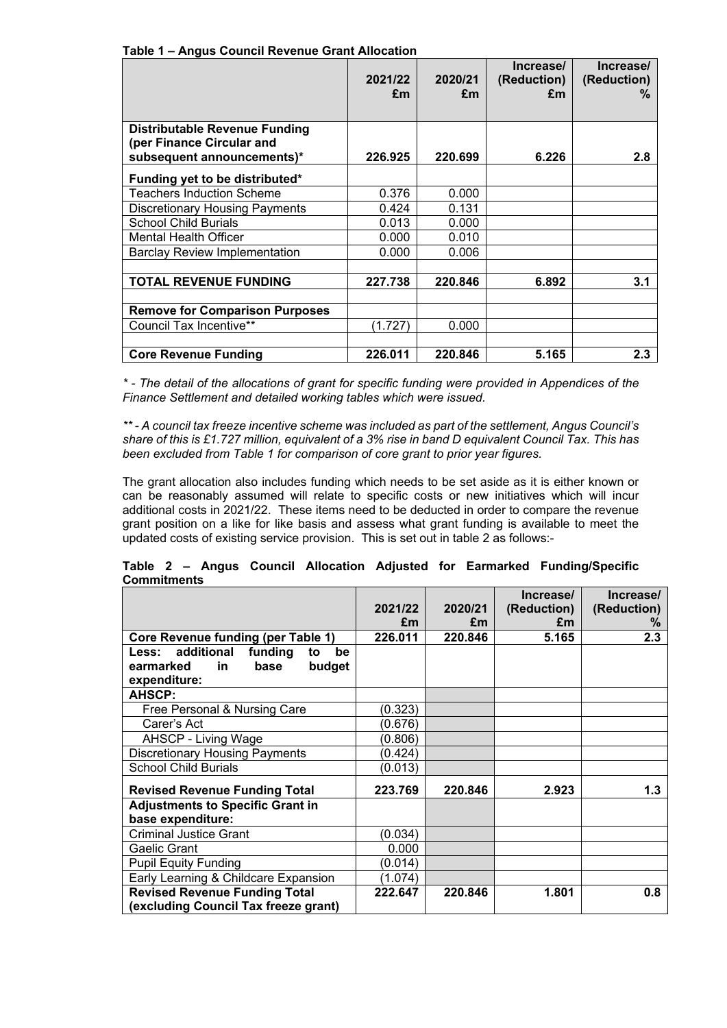| Anguo ocunon novonuo orunt Anocunon                                                             | 2021/22<br>£m | 2020/21<br>£m | Increase/<br>(Reduction)<br>£m | Increase/<br>(Reduction)<br>℅ |
|-------------------------------------------------------------------------------------------------|---------------|---------------|--------------------------------|-------------------------------|
| <b>Distributable Revenue Funding</b><br>(per Finance Circular and<br>subsequent announcements)* | 226.925       | 220.699       | 6.226                          | 2.8                           |
| Funding yet to be distributed*                                                                  |               |               |                                |                               |
| <b>Teachers Induction Scheme</b>                                                                | 0.376         | 0.000         |                                |                               |
| <b>Discretionary Housing Payments</b>                                                           | 0.424         | 0.131         |                                |                               |
| <b>School Child Burials</b>                                                                     | 0.013         | 0.000         |                                |                               |
| <b>Mental Health Officer</b>                                                                    | 0.000         | 0.010         |                                |                               |
| <b>Barclay Review Implementation</b>                                                            | 0.000         | 0.006         |                                |                               |
|                                                                                                 |               |               |                                |                               |
| <b>TOTAL REVENUE FUNDING</b>                                                                    | 227.738       | 220.846       | 6.892                          | 3.1                           |
|                                                                                                 |               |               |                                |                               |
| <b>Remove for Comparison Purposes</b>                                                           |               |               |                                |                               |
| Council Tax Incentive**                                                                         | (1.727)       | 0.000         |                                |                               |
|                                                                                                 |               |               |                                |                               |
| <b>Core Revenue Funding</b>                                                                     | 226.011       | 220.846       | 5.165                          | 2.3                           |

 **Table 1 – Angus Council Revenue Grant Allocation** 

*\* - The detail of the allocations of grant for specific funding were provided in Appendices of the Finance Settlement and detailed working tables which were issued.*

*\*\* - A council tax freeze incentive scheme was included as part of the settlement, Angus Council's share of this is £1.727 million, equivalent of a 3% rise in band D equivalent Council Tax. This has been excluded from Table 1 for comparison of core grant to prior year figures.*

The grant allocation also includes funding which needs to be set aside as it is either known or can be reasonably assumed will relate to specific costs or new initiatives which will incur additional costs in 2021/22. These items need to be deducted in order to compare the revenue grant position on a like for like basis and assess what grant funding is available to meet the updated costs of existing service provision. This is set out in table 2 as follows:-

|                                           | 2021/22<br>£m | 2020/21<br>£m | Increase/<br>(Reduction)<br>£m | Increase/<br>(Reduction)<br>℅ |
|-------------------------------------------|---------------|---------------|--------------------------------|-------------------------------|
| <b>Core Revenue funding (per Table 1)</b> | 226.011       | 220.846       | 5.165                          | 2.3                           |
| Less: additional<br>funding<br>be<br>to   |               |               |                                |                               |
| earmarked<br>budget<br>base<br>in.        |               |               |                                |                               |
| expenditure:                              |               |               |                                |                               |
| <b>AHSCP:</b>                             |               |               |                                |                               |
| Free Personal & Nursing Care              | (0.323)       |               |                                |                               |
| Carer's Act                               | (0.676)       |               |                                |                               |
| AHSCP - Living Wage                       | (0.806)       |               |                                |                               |
| <b>Discretionary Housing Payments</b>     | (0.424)       |               |                                |                               |
| <b>School Child Burials</b>               | (0.013)       |               |                                |                               |
| <b>Revised Revenue Funding Total</b>      | 223.769       | 220.846       | 2.923                          | 1.3                           |
| <b>Adjustments to Specific Grant in</b>   |               |               |                                |                               |
| base expenditure:                         |               |               |                                |                               |
| <b>Criminal Justice Grant</b>             | (0.034)       |               |                                |                               |
| Gaelic Grant                              | 0.000         |               |                                |                               |
| <b>Pupil Equity Funding</b>               | (0.014)       |               |                                |                               |
| Early Learning & Childcare Expansion      | (1.074)       |               |                                |                               |
| <b>Revised Revenue Funding Total</b>      | 222.647       | 220.846       | 1.801                          | 0.8                           |
| (excluding Council Tax freeze grant)      |               |               |                                |                               |

#### **Table 2 – Angus Council Allocation Adjusted for Earmarked Funding/Specific Commitments**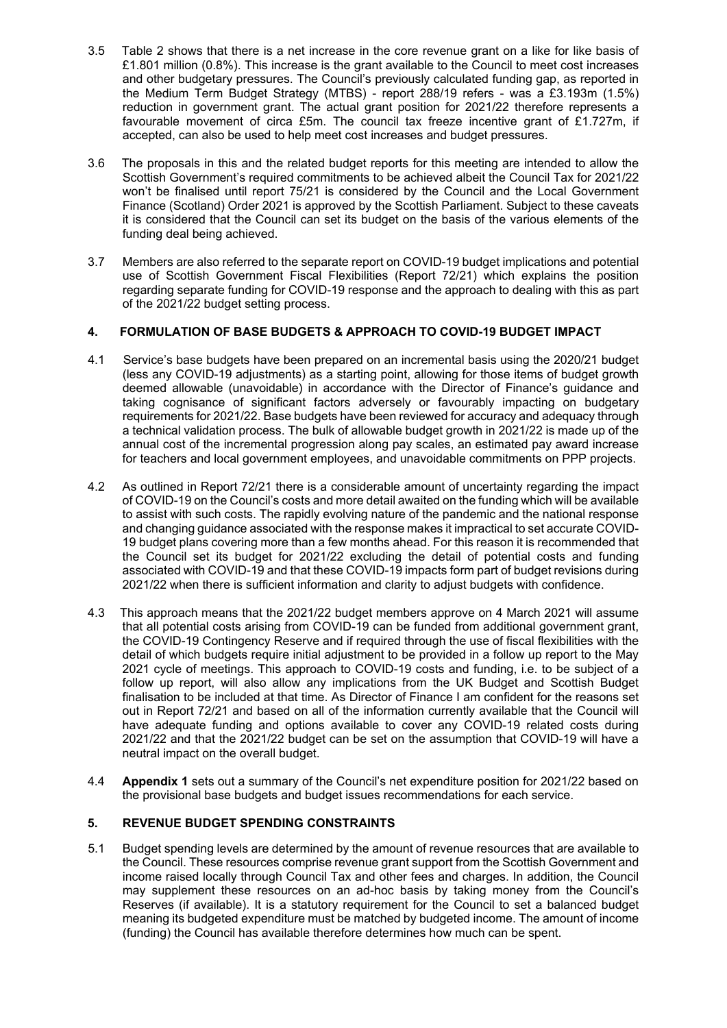- 3.5 Table 2 shows that there is a net increase in the core revenue grant on a like for like basis of £1.801 million (0.8%). This increase is the grant available to the Council to meet cost increases and other budgetary pressures. The Council's previously calculated funding gap, as reported in the Medium Term Budget Strategy (MTBS) - report 288/19 refers - was a £3.193m (1.5%) reduction in government grant. The actual grant position for 2021/22 therefore represents a favourable movement of circa £5m. The council tax freeze incentive grant of £1.727m, if accepted, can also be used to help meet cost increases and budget pressures.
- 3.6 The proposals in this and the related budget reports for this meeting are intended to allow the Scottish Government's required commitments to be achieved albeit the Council Tax for 2021/22 won't be finalised until report 75/21 is considered by the Council and the Local Government Finance (Scotland) Order 2021 is approved by the Scottish Parliament. Subject to these caveats it is considered that the Council can set its budget on the basis of the various elements of the funding deal being achieved.
- 3.7 Members are also referred to the separate report on COVID-19 budget implications and potential use of Scottish Government Fiscal Flexibilities (Report 72/21) which explains the position regarding separate funding for COVID-19 response and the approach to dealing with this as part of the 2021/22 budget setting process.

# **4. FORMULATION OF BASE BUDGETS & APPROACH TO COVID-19 BUDGET IMPACT**

- 4.1 Service's base budgets have been prepared on an incremental basis using the 2020/21 budget (less any COVID-19 adjustments) as a starting point, allowing for those items of budget growth deemed allowable (unavoidable) in accordance with the Director of Finance's guidance and taking cognisance of significant factors adversely or favourably impacting on budgetary requirements for 2021/22. Base budgets have been reviewed for accuracy and adequacy through a technical validation process. The bulk of allowable budget growth in 2021/22 is made up of the annual cost of the incremental progression along pay scales, an estimated pay award increase for teachers and local government employees, and unavoidable commitments on PPP projects.
- 4.2 As outlined in Report 72/21 there is a considerable amount of uncertainty regarding the impact of COVID-19 on the Council's costs and more detail awaited on the funding which will be available to assist with such costs. The rapidly evolving nature of the pandemic and the national response and changing guidance associated with the response makes it impractical to set accurate COVID-19 budget plans covering more than a few months ahead. For this reason it is recommended that the Council set its budget for 2021/22 excluding the detail of potential costs and funding associated with COVID-19 and that these COVID-19 impacts form part of budget revisions during 2021/22 when there is sufficient information and clarity to adjust budgets with confidence.
- 4.3 This approach means that the 2021/22 budget members approve on 4 March 2021 will assume that all potential costs arising from COVID-19 can be funded from additional government grant, the COVID-19 Contingency Reserve and if required through the use of fiscal flexibilities with the detail of which budgets require initial adjustment to be provided in a follow up report to the May 2021 cycle of meetings. This approach to COVID-19 costs and funding, i.e. to be subject of a follow up report, will also allow any implications from the UK Budget and Scottish Budget finalisation to be included at that time. As Director of Finance I am confident for the reasons set out in Report 72/21 and based on all of the information currently available that the Council will have adequate funding and options available to cover any COVID-19 related costs during 2021/22 and that the 2021/22 budget can be set on the assumption that COVID-19 will have a neutral impact on the overall budget.
- 4.4 **Appendix 1** sets out a summary of the Council's net expenditure position for 2021/22 based on the provisional base budgets and budget issues recommendations for each service.

## **5. REVENUE BUDGET SPENDING CONSTRAINTS**

5.1 Budget spending levels are determined by the amount of revenue resources that are available to the Council. These resources comprise revenue grant support from the Scottish Government and income raised locally through Council Tax and other fees and charges. In addition, the Council may supplement these resources on an ad-hoc basis by taking money from the Council's Reserves (if available). It is a statutory requirement for the Council to set a balanced budget meaning its budgeted expenditure must be matched by budgeted income. The amount of income (funding) the Council has available therefore determines how much can be spent.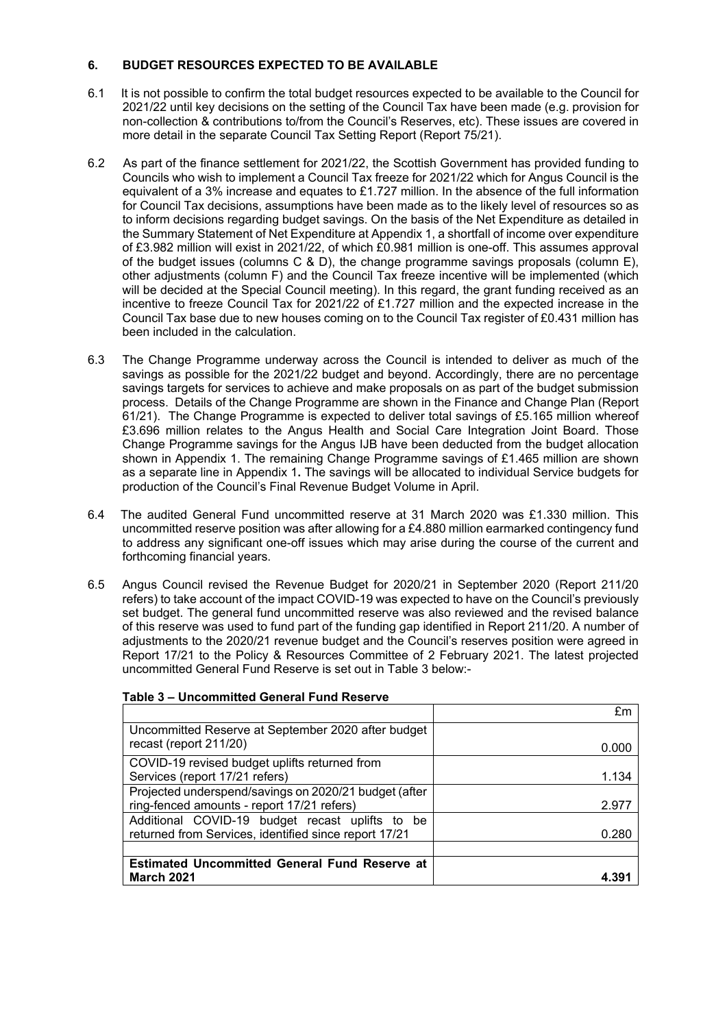## **6. BUDGET RESOURCES EXPECTED TO BE AVAILABLE**

- 6.1 It is not possible to confirm the total budget resources expected to be available to the Council for 2021/22 until key decisions on the setting of the Council Tax have been made (e.g. provision for non-collection & contributions to/from the Council's Reserves, etc). These issues are covered in more detail in the separate Council Tax Setting Report (Report 75/21).
- 6.2 As part of the finance settlement for 2021/22, the Scottish Government has provided funding to Councils who wish to implement a Council Tax freeze for 2021/22 which for Angus Council is the equivalent of a 3% increase and equates to £1.727 million. In the absence of the full information for Council Tax decisions, assumptions have been made as to the likely level of resources so as to inform decisions regarding budget savings. On the basis of the Net Expenditure as detailed in the Summary Statement of Net Expenditure at Appendix 1, a shortfall of income over expenditure of £3.982 million will exist in 2021/22, of which £0.981 million is one-off. This assumes approval of the budget issues (columns  $C & D$ ), the change programme savings proposals (column E), other adjustments (column F) and the Council Tax freeze incentive will be implemented (which will be decided at the Special Council meeting). In this regard, the grant funding received as an incentive to freeze Council Tax for 2021/22 of £1.727 million and the expected increase in the Council Tax base due to new houses coming on to the Council Tax register of £0.431 million has been included in the calculation.
- 6.3 The Change Programme underway across the Council is intended to deliver as much of the savings as possible for the 2021/22 budget and beyond. Accordingly, there are no percentage savings targets for services to achieve and make proposals on as part of the budget submission process. Details of the Change Programme are shown in the Finance and Change Plan (Report 61/21). The Change Programme is expected to deliver total savings of £5.165 million whereof £3.696 million relates to the Angus Health and Social Care Integration Joint Board. Those Change Programme savings for the Angus IJB have been deducted from the budget allocation shown in Appendix 1. The remaining Change Programme savings of £1.465 million are shown as a separate line in Appendix 1**.** The savings will be allocated to individual Service budgets for production of the Council's Final Revenue Budget Volume in April.
- 6.4 The audited General Fund uncommitted reserve at 31 March 2020 was £1.330 million. This uncommitted reserve position was after allowing for a £4.880 million earmarked contingency fund to address any significant one-off issues which may arise during the course of the current and forthcoming financial years.
- 6.5 Angus Council revised the Revenue Budget for 2020/21 in September 2020 (Report 211/20 refers) to take account of the impact COVID-19 was expected to have on the Council's previously set budget. The general fund uncommitted reserve was also reviewed and the revised balance of this reserve was used to fund part of the funding gap identified in Report 211/20. A number of adjustments to the 2020/21 revenue budget and the Council's reserves position were agreed in Report 17/21 to the Policy & Resources Committee of 2 February 2021. The latest projected uncommitted General Fund Reserve is set out in Table 3 below:-

|                                                                                                          | fm    |
|----------------------------------------------------------------------------------------------------------|-------|
| Uncommitted Reserve at September 2020 after budget<br>recast (report 211/20)                             | 0.000 |
| COVID-19 revised budget uplifts returned from<br>Services (report 17/21 refers)                          | 1.134 |
| Projected underspend/savings on 2020/21 budget (after<br>ring-fenced amounts - report 17/21 refers)      | 2.977 |
| Additional COVID-19 budget recast uplifts to be<br>returned from Services, identified since report 17/21 | 0.280 |
| <b>Estimated Uncommitted General Fund Reserve at</b><br><b>March 2021</b>                                |       |

## **Table 3 – Uncommitted General Fund Reserve**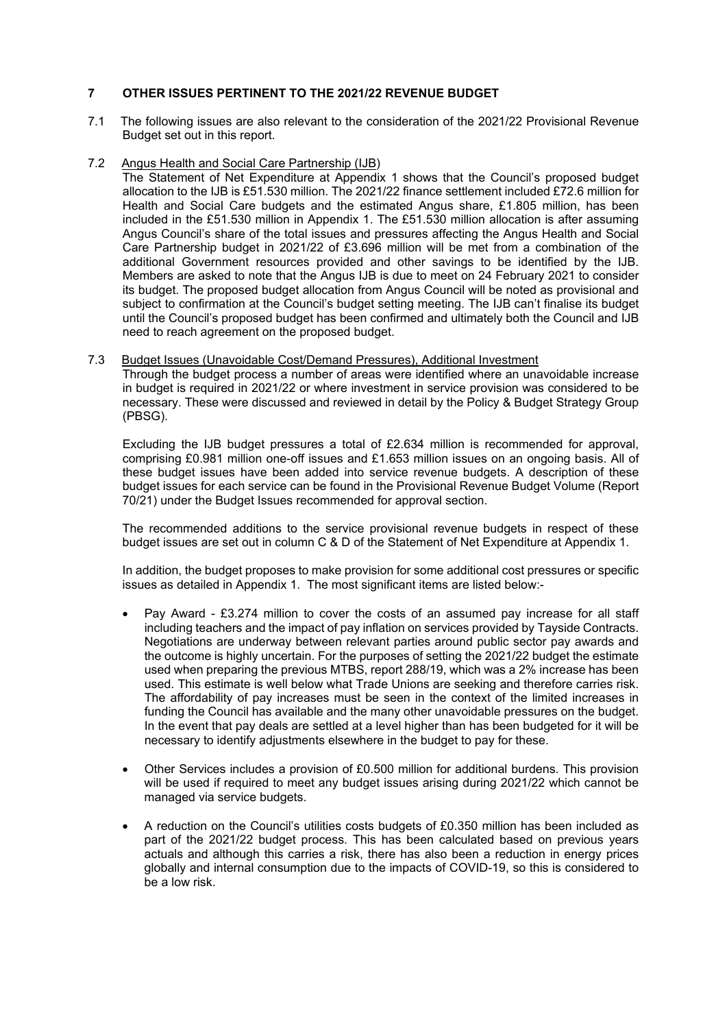# **7 OTHER ISSUES PERTINENT TO THE 2021/22 REVENUE BUDGET**

- 7.1 The following issues are also relevant to the consideration of the 2021/22 Provisional Revenue Budget set out in this report.
- 7.2 Angus Health and Social Care Partnership (IJB)

The Statement of Net Expenditure at Appendix 1 shows that the Council's proposed budget allocation to the IJB is £51.530 million. The 2021/22 finance settlement included £72.6 million for Health and Social Care budgets and the estimated Angus share, £1.805 million, has been included in the £51.530 million in Appendix 1. The £51.530 million allocation is after assuming Angus Council's share of the total issues and pressures affecting the Angus Health and Social Care Partnership budget in 2021/22 of £3.696 million will be met from a combination of the additional Government resources provided and other savings to be identified by the IJB. Members are asked to note that the Angus IJB is due to meet on 24 February 2021 to consider its budget. The proposed budget allocation from Angus Council will be noted as provisional and subject to confirmation at the Council's budget setting meeting. The IJB can't finalise its budget until the Council's proposed budget has been confirmed and ultimately both the Council and IJB need to reach agreement on the proposed budget.

7.3 Budget Issues (Unavoidable Cost/Demand Pressures), Additional Investment

Through the budget process a number of areas were identified where an unavoidable increase in budget is required in 2021/22 or where investment in service provision was considered to be necessary. These were discussed and reviewed in detail by the Policy & Budget Strategy Group (PBSG).

Excluding the IJB budget pressures a total of £2.634 million is recommended for approval, comprising £0.981 million one-off issues and £1.653 million issues on an ongoing basis. All of these budget issues have been added into service revenue budgets. A description of these budget issues for each service can be found in the Provisional Revenue Budget Volume (Report 70/21) under the Budget Issues recommended for approval section.

The recommended additions to the service provisional revenue budgets in respect of these budget issues are set out in column C & D of the Statement of Net Expenditure at Appendix 1.

In addition, the budget proposes to make provision for some additional cost pressures or specific issues as detailed in Appendix 1. The most significant items are listed below:-

- Pay Award £3.274 million to cover the costs of an assumed pay increase for all staff including teachers and the impact of pay inflation on services provided by Tayside Contracts. Negotiations are underway between relevant parties around public sector pay awards and the outcome is highly uncertain. For the purposes of setting the 2021/22 budget the estimate used when preparing the previous MTBS, report 288/19, which was a 2% increase has been used. This estimate is well below what Trade Unions are seeking and therefore carries risk. The affordability of pay increases must be seen in the context of the limited increases in funding the Council has available and the many other unavoidable pressures on the budget. In the event that pay deals are settled at a level higher than has been budgeted for it will be necessary to identify adjustments elsewhere in the budget to pay for these.
- Other Services includes a provision of £0.500 million for additional burdens. This provision will be used if required to meet any budget issues arising during 2021/22 which cannot be managed via service budgets.
- A reduction on the Council's utilities costs budgets of £0.350 million has been included as part of the 2021/22 budget process. This has been calculated based on previous years actuals and although this carries a risk, there has also been a reduction in energy prices globally and internal consumption due to the impacts of COVID-19, so this is considered to be a low risk.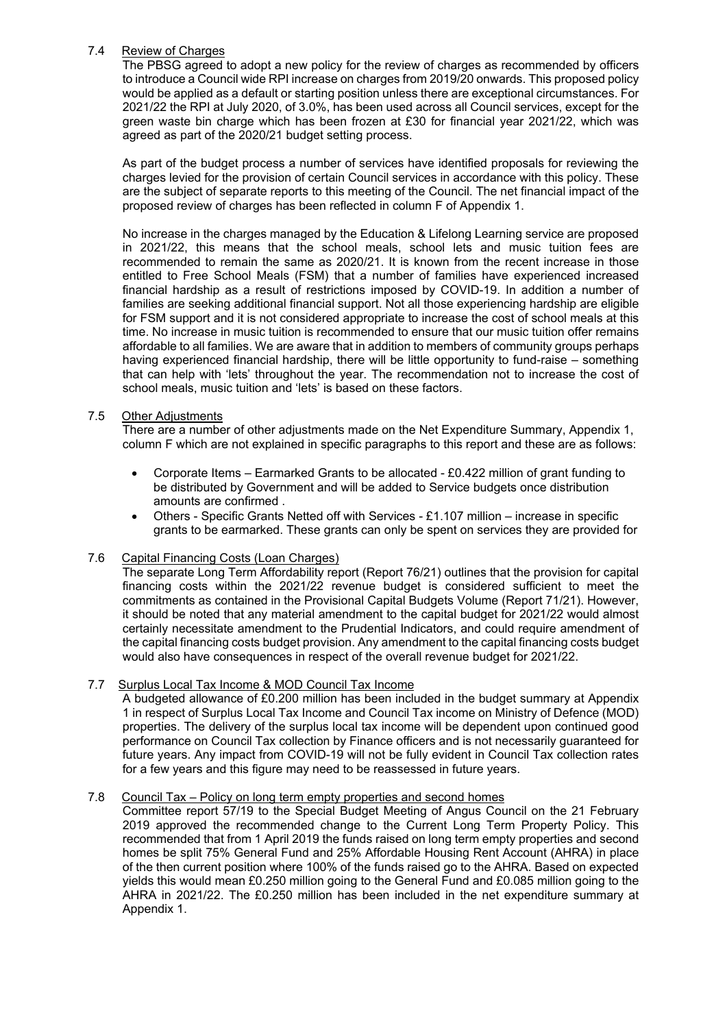## 7.4 Review of Charges

The PBSG agreed to adopt a new policy for the review of charges as recommended by officers to introduce a Council wide RPI increase on charges from 2019/20 onwards. This proposed policy would be applied as a default or starting position unless there are exceptional circumstances. For 2021/22 the RPI at July 2020, of 3.0%, has been used across all Council services, except for the green waste bin charge which has been frozen at £30 for financial year 2021/22, which was agreed as part of the 2020/21 budget setting process.

As part of the budget process a number of services have identified proposals for reviewing the charges levied for the provision of certain Council services in accordance with this policy. These are the subject of separate reports to this meeting of the Council. The net financial impact of the proposed review of charges has been reflected in column F of Appendix 1.

No increase in the charges managed by the Education & Lifelong Learning service are proposed in 2021/22, this means that the school meals, school lets and music tuition fees are recommended to remain the same as 2020/21. It is known from the recent increase in those entitled to Free School Meals (FSM) that a number of families have experienced increased financial hardship as a result of restrictions imposed by COVID-19. In addition a number of families are seeking additional financial support. Not all those experiencing hardship are eligible for FSM support and it is not considered appropriate to increase the cost of school meals at this time. No increase in music tuition is recommended to ensure that our music tuition offer remains affordable to all families. We are aware that in addition to members of community groups perhaps having experienced financial hardship, there will be little opportunity to fund-raise – something that can help with 'lets' throughout the year. The recommendation not to increase the cost of school meals, music tuition and 'lets' is based on these factors.

# 7.5 Other Adjustments

There are a number of other adjustments made on the Net Expenditure Summary, Appendix 1, column F which are not explained in specific paragraphs to this report and these are as follows:

- Corporate Items Earmarked Grants to be allocated £0.422 million of grant funding to be distributed by Government and will be added to Service budgets once distribution amounts are confirmed .
- Others Specific Grants Netted off with Services £1.107 million increase in specific grants to be earmarked. These grants can only be spent on services they are provided for

## 7.6 Capital Financing Costs (Loan Charges)

The separate Long Term Affordability report (Report 76/21) outlines that the provision for capital financing costs within the 2021/22 revenue budget is considered sufficient to meet the commitments as contained in the Provisional Capital Budgets Volume (Report 71/21). However, it should be noted that any material amendment to the capital budget for 2021/22 would almost certainly necessitate amendment to the Prudential Indicators, and could require amendment of the capital financing costs budget provision. Any amendment to the capital financing costs budget would also have consequences in respect of the overall revenue budget for 2021/22.

## 7.7 Surplus Local Tax Income & MOD Council Tax Income

A budgeted allowance of £0.200 million has been included in the budget summary at Appendix 1 in respect of Surplus Local Tax Income and Council Tax income on Ministry of Defence (MOD) properties. The delivery of the surplus local tax income will be dependent upon continued good performance on Council Tax collection by Finance officers and is not necessarily guaranteed for future years. Any impact from COVID-19 will not be fully evident in Council Tax collection rates for a few years and this figure may need to be reassessed in future years.

## 7.8 Council Tax – Policy on long term empty properties and second homes

Committee report 57/19 to the Special Budget Meeting of Angus Council on the 21 February 2019 approved the recommended change to the Current Long Term Property Policy. This recommended that from 1 April 2019 the funds raised on long term empty properties and second homes be split 75% General Fund and 25% Affordable Housing Rent Account (AHRA) in place of the then current position where 100% of the funds raised go to the AHRA. Based on expected yields this would mean £0.250 million going to the General Fund and £0.085 million going to the AHRA in 2021/22. The £0.250 million has been included in the net expenditure summary at Appendix 1.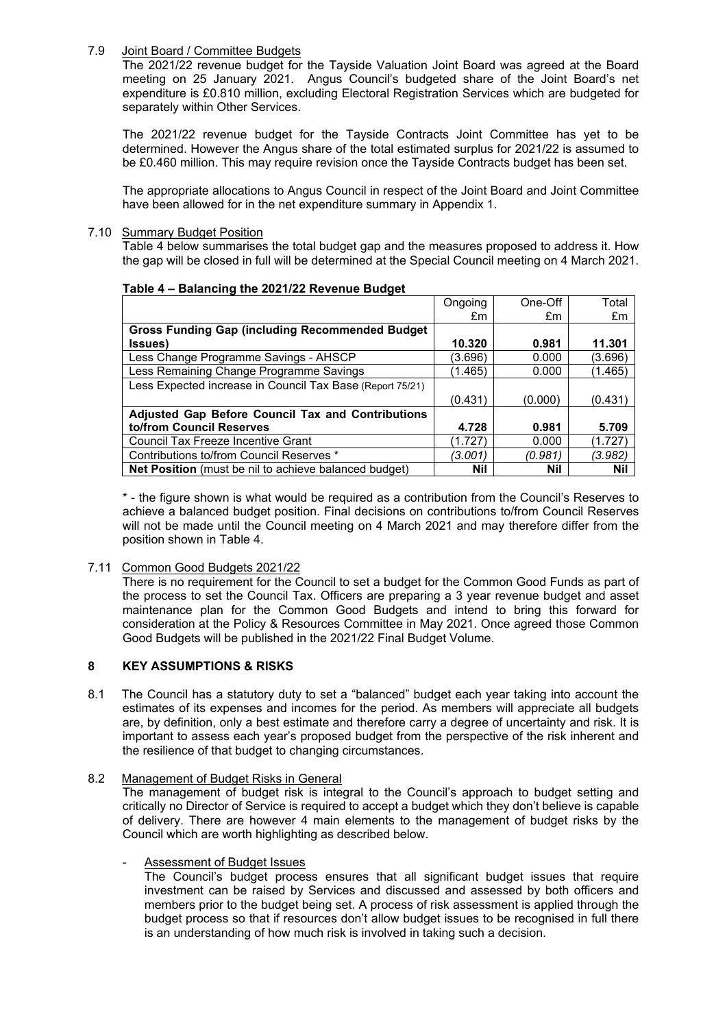## 7.9 Joint Board / Committee Budgets

The 2021/22 revenue budget for the Tayside Valuation Joint Board was agreed at the Board meeting on 25 January 2021. Angus Council's budgeted share of the Joint Board's net expenditure is £0.810 million, excluding Electoral Registration Services which are budgeted for separately within Other Services.

The 2021/22 revenue budget for the Tayside Contracts Joint Committee has yet to be determined. However the Angus share of the total estimated surplus for 2021/22 is assumed to be £0.460 million. This may require revision once the Tayside Contracts budget has been set.

The appropriate allocations to Angus Council in respect of the Joint Board and Joint Committee have been allowed for in the net expenditure summary in Appendix 1.

#### 7.10 Summary Budget Position

Table 4 below summarises the total budget gap and the measures proposed to address it. How the gap will be closed in full will be determined at the Special Council meeting on 4 March 2021.

## **Table 4 – Balancing the 2021/22 Revenue Budget**

|                                                           | Ongoing | One-Off    | Total      |
|-----------------------------------------------------------|---------|------------|------------|
|                                                           | £m      | £m         | £m         |
| <b>Gross Funding Gap (including Recommended Budget)</b>   |         |            |            |
| (Issues                                                   | 10.320  | 0.981      | 11.301     |
| Less Change Programme Savings - AHSCP                     | (3.696) | 0.000      | (3.696)    |
| Less Remaining Change Programme Savings                   | (1.465) | 0.000      | (1.465)    |
| Less Expected increase in Council Tax Base (Report 75/21) |         |            |            |
|                                                           | (0.431) | (0.000)    | (0.431)    |
| <b>Adjusted Gap Before Council Tax and Contributions</b>  |         |            |            |
| to/from Council Reserves                                  | 4.728   | 0.981      | 5.709      |
| Council Tax Freeze Incentive Grant                        | (1.727) | 0.000      | (1.727)    |
| Contributions to/from Council Reserves *                  | (3.001) | (0.981)    | (3.982)    |
| Net Position (must be nil to achieve balanced budget)     | Nil     | <b>Nil</b> | <b>Nil</b> |

\* - the figure shown is what would be required as a contribution from the Council's Reserves to achieve a balanced budget position. Final decisions on contributions to/from Council Reserves will not be made until the Council meeting on 4 March 2021 and may therefore differ from the position shown in Table 4.

## 7.11 Common Good Budgets 2021/22

There is no requirement for the Council to set a budget for the Common Good Funds as part of the process to set the Council Tax. Officers are preparing a 3 year revenue budget and asset maintenance plan for the Common Good Budgets and intend to bring this forward for consideration at the Policy & Resources Committee in May 2021. Once agreed those Common Good Budgets will be published in the 2021/22 Final Budget Volume.

# **8 KEY ASSUMPTIONS & RISKS**

8.1 The Council has a statutory duty to set a "balanced" budget each year taking into account the estimates of its expenses and incomes for the period. As members will appreciate all budgets are, by definition, only a best estimate and therefore carry a degree of uncertainty and risk. It is important to assess each year's proposed budget from the perspective of the risk inherent and the resilience of that budget to changing circumstances.

### 8.2 Management of Budget Risks in General

The management of budget risk is integral to the Council's approach to budget setting and critically no Director of Service is required to accept a budget which they don't believe is capable of delivery. There are however 4 main elements to the management of budget risks by the Council which are worth highlighting as described below.

#### Assessment of Budget Issues

The Council's budget process ensures that all significant budget issues that require investment can be raised by Services and discussed and assessed by both officers and members prior to the budget being set. A process of risk assessment is applied through the budget process so that if resources don't allow budget issues to be recognised in full there is an understanding of how much risk is involved in taking such a decision.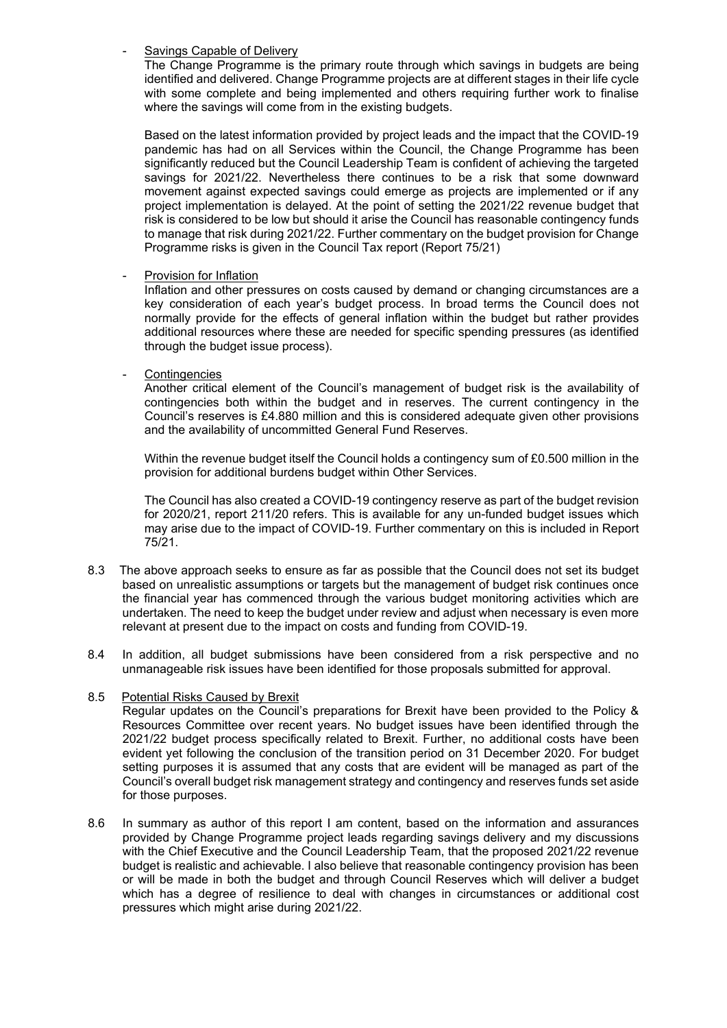### Savings Capable of Delivery

The Change Programme is the primary route through which savings in budgets are being identified and delivered. Change Programme projects are at different stages in their life cycle with some complete and being implemented and others requiring further work to finalise where the savings will come from in the existing budgets.

Based on the latest information provided by project leads and the impact that the COVID-19 pandemic has had on all Services within the Council, the Change Programme has been significantly reduced but the Council Leadership Team is confident of achieving the targeted savings for 2021/22. Nevertheless there continues to be a risk that some downward movement against expected savings could emerge as projects are implemented or if any project implementation is delayed. At the point of setting the 2021/22 revenue budget that risk is considered to be low but should it arise the Council has reasonable contingency funds to manage that risk during 2021/22. Further commentary on the budget provision for Change Programme risks is given in the Council Tax report (Report 75/21)

## Provision for Inflation

Inflation and other pressures on costs caused by demand or changing circumstances are a key consideration of each year's budget process. In broad terms the Council does not normally provide for the effects of general inflation within the budget but rather provides additional resources where these are needed for specific spending pressures (as identified through the budget issue process).

## **Contingencies**

Another critical element of the Council's management of budget risk is the availability of contingencies both within the budget and in reserves. The current contingency in the Council's reserves is £4.880 million and this is considered adequate given other provisions and the availability of uncommitted General Fund Reserves.

Within the revenue budget itself the Council holds a contingency sum of £0.500 million in the provision for additional burdens budget within Other Services.

The Council has also created a COVID-19 contingency reserve as part of the budget revision for 2020/21, report 211/20 refers. This is available for any un-funded budget issues which may arise due to the impact of COVID-19. Further commentary on this is included in Report 75/21.

- 8.3 The above approach seeks to ensure as far as possible that the Council does not set its budget based on unrealistic assumptions or targets but the management of budget risk continues once the financial year has commenced through the various budget monitoring activities which are undertaken. The need to keep the budget under review and adjust when necessary is even more relevant at present due to the impact on costs and funding from COVID-19.
- 8.4 In addition, all budget submissions have been considered from a risk perspective and no unmanageable risk issues have been identified for those proposals submitted for approval.

## 8.5 Potential Risks Caused by Brexit

Regular updates on the Council's preparations for Brexit have been provided to the Policy & Resources Committee over recent years. No budget issues have been identified through the 2021/22 budget process specifically related to Brexit. Further, no additional costs have been evident yet following the conclusion of the transition period on 31 December 2020. For budget setting purposes it is assumed that any costs that are evident will be managed as part of the Council's overall budget risk management strategy and contingency and reserves funds set aside for those purposes.

8.6 In summary as author of this report I am content, based on the information and assurances provided by Change Programme project leads regarding savings delivery and my discussions with the Chief Executive and the Council Leadership Team, that the proposed 2021/22 revenue budget is realistic and achievable. I also believe that reasonable contingency provision has been or will be made in both the budget and through Council Reserves which will deliver a budget which has a degree of resilience to deal with changes in circumstances or additional cost pressures which might arise during 2021/22.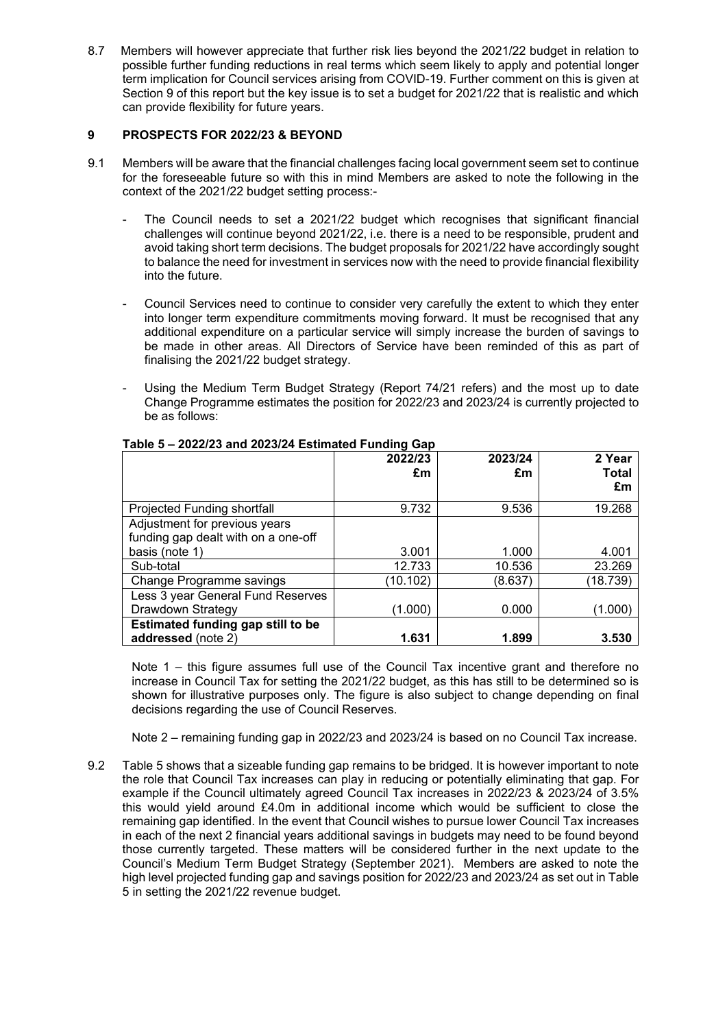8.7 Members will however appreciate that further risk lies beyond the 2021/22 budget in relation to possible further funding reductions in real terms which seem likely to apply and potential longer term implication for Council services arising from COVID-19. Further comment on this is given at Section 9 of this report but the key issue is to set a budget for 2021/22 that is realistic and which can provide flexibility for future years.

# **9 PROSPECTS FOR 2022/23 & BEYOND**

- 9.1 Members will be aware that the financial challenges facing local government seem set to continue for the foreseeable future so with this in mind Members are asked to note the following in the context of the 2021/22 budget setting process:-
	- The Council needs to set a 2021/22 budget which recognises that significant financial challenges will continue beyond 2021/22, i.e. there is a need to be responsible, prudent and avoid taking short term decisions. The budget proposals for 2021/22 have accordingly sought to balance the need for investment in services now with the need to provide financial flexibility into the future.
	- Council Services need to continue to consider very carefully the extent to which they enter into longer term expenditure commitments moving forward. It must be recognised that any additional expenditure on a particular service will simply increase the burden of savings to be made in other areas. All Directors of Service have been reminded of this as part of finalising the 2021/22 budget strategy.
	- Using the Medium Term Budget Strategy (Report 74/21 refers) and the most up to date Change Programme estimates the position for 2022/23 and 2023/24 is currently projected to be as follows:

|                                     | 2022/23<br>£m | 2023/24<br>£m | 2 Year<br><b>Total</b><br>£m |
|-------------------------------------|---------------|---------------|------------------------------|
| Projected Funding shortfall         | 9.732         | 9.536         | 19.268                       |
| Adjustment for previous years       |               |               |                              |
| funding gap dealt with on a one-off |               |               |                              |
| basis (note 1)                      | 3.001         | 1.000         | 4.001                        |
| Sub-total                           | 12.733        | 10.536        | 23.269                       |
| <b>Change Programme savings</b>     | (10.102)      | (8.637)       | (18.739)                     |
| Less 3 year General Fund Reserves   |               |               |                              |
| Drawdown Strategy                   | (1.000)       | 0.000         | (1.000)                      |
| Estimated funding gap still to be   |               |               |                              |
| addressed (note 2)                  | 1.631         | 1.899         | 3.530                        |

## **Table 5 – 2022/23 and 2023/24 Estimated Funding Gap**

Note 1 – this figure assumes full use of the Council Tax incentive grant and therefore no increase in Council Tax for setting the 2021/22 budget, as this has still to be determined so is shown for illustrative purposes only. The figure is also subject to change depending on final decisions regarding the use of Council Reserves.

Note 2 – remaining funding gap in 2022/23 and 2023/24 is based on no Council Tax increase.

9.2 Table 5 shows that a sizeable funding gap remains to be bridged. It is however important to note the role that Council Tax increases can play in reducing or potentially eliminating that gap. For example if the Council ultimately agreed Council Tax increases in 2022/23 & 2023/24 of 3.5% this would yield around £4.0m in additional income which would be sufficient to close the remaining gap identified. In the event that Council wishes to pursue lower Council Tax increases in each of the next 2 financial years additional savings in budgets may need to be found beyond those currently targeted. These matters will be considered further in the next update to the Council's Medium Term Budget Strategy (September 2021). Members are asked to note the high level projected funding gap and savings position for 2022/23 and 2023/24 as set out in Table 5 in setting the 2021/22 revenue budget.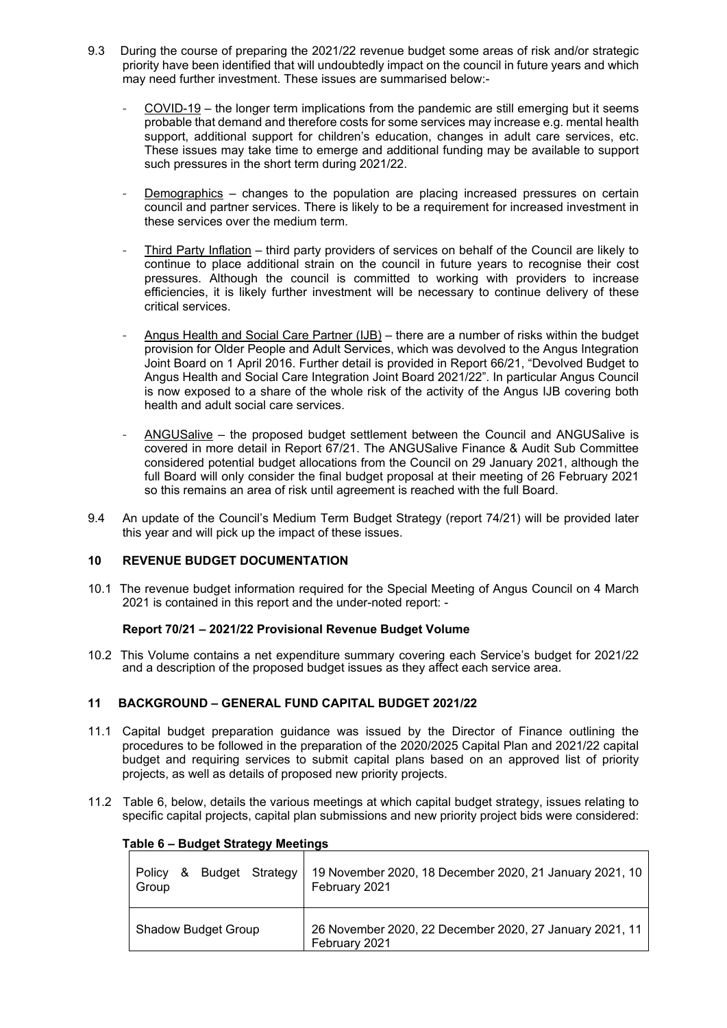- 9.3 During the course of preparing the 2021/22 revenue budget some areas of risk and/or strategic priority have been identified that will undoubtedly impact on the council in future years and which may need further investment. These issues are summarised below:-
	- COVID-19 the longer term implications from the pandemic are still emerging but it seems probable that demand and therefore costs for some services may increase e.g. mental health support, additional support for children's education, changes in adult care services, etc. These issues may take time to emerge and additional funding may be available to support such pressures in the short term during 2021/22.
	- Demographics changes to the population are placing increased pressures on certain council and partner services. There is likely to be a requirement for increased investment in these services over the medium term.
	- Third Party Inflation third party providers of services on behalf of the Council are likely to continue to place additional strain on the council in future years to recognise their cost pressures. Although the council is committed to working with providers to increase efficiencies, it is likely further investment will be necessary to continue delivery of these critical services.
	- Angus Health and Social Care Partner (IJB) there are a number of risks within the budget provision for Older People and Adult Services, which was devolved to the Angus Integration Joint Board on 1 April 2016. Further detail is provided in Report 66/21, "Devolved Budget to Angus Health and Social Care Integration Joint Board 2021/22". In particular Angus Council is now exposed to a share of the whole risk of the activity of the Angus IJB covering both health and adult social care services.
	- ANGUSalive the proposed budget settlement between the Council and ANGUSalive is covered in more detail in Report 67/21. The ANGUSalive Finance & Audit Sub Committee considered potential budget allocations from the Council on 29 January 2021, although the full Board will only consider the final budget proposal at their meeting of 26 February 2021 so this remains an area of risk until agreement is reached with the full Board.
- 9.4 An update of the Council's Medium Term Budget Strategy (report 74/21) will be provided later this year and will pick up the impact of these issues.

## **10 REVENUE BUDGET DOCUMENTATION**

10.1 The revenue budget information required for the Special Meeting of Angus Council on 4 March 2021 is contained in this report and the under-noted report: -

#### **Report 70/21 – 2021/22 Provisional Revenue Budget Volume**

10.2 This Volume contains a net expenditure summary covering each Service's budget for 2021/22 and a description of the proposed budget issues as they affect each service area.

## **11 BACKGROUND – GENERAL FUND CAPITAL BUDGET 2021/22**

- 11.1 Capital budget preparation guidance was issued by the Director of Finance outlining the procedures to be followed in the preparation of the 2020/2025 Capital Plan and 2021/22 capital budget and requiring services to submit capital plans based on an approved list of priority projects, as well as details of proposed new priority projects.
- 11.2 Table 6, below, details the various meetings at which capital budget strategy, issues relating to specific capital projects, capital plan submissions and new priority project bids were considered:

| Table 6 – Budget Strategy Meetings             |                                                                          |
|------------------------------------------------|--------------------------------------------------------------------------|
| Budget Strategy<br><b>Policy</b><br>&<br>Group | 19 November 2020, 18 December 2020, 21 January 2021, 10<br>February 2021 |
| <b>Shadow Budget Group</b>                     | 26 November 2020, 22 December 2020, 27 January 2021, 11<br>February 2021 |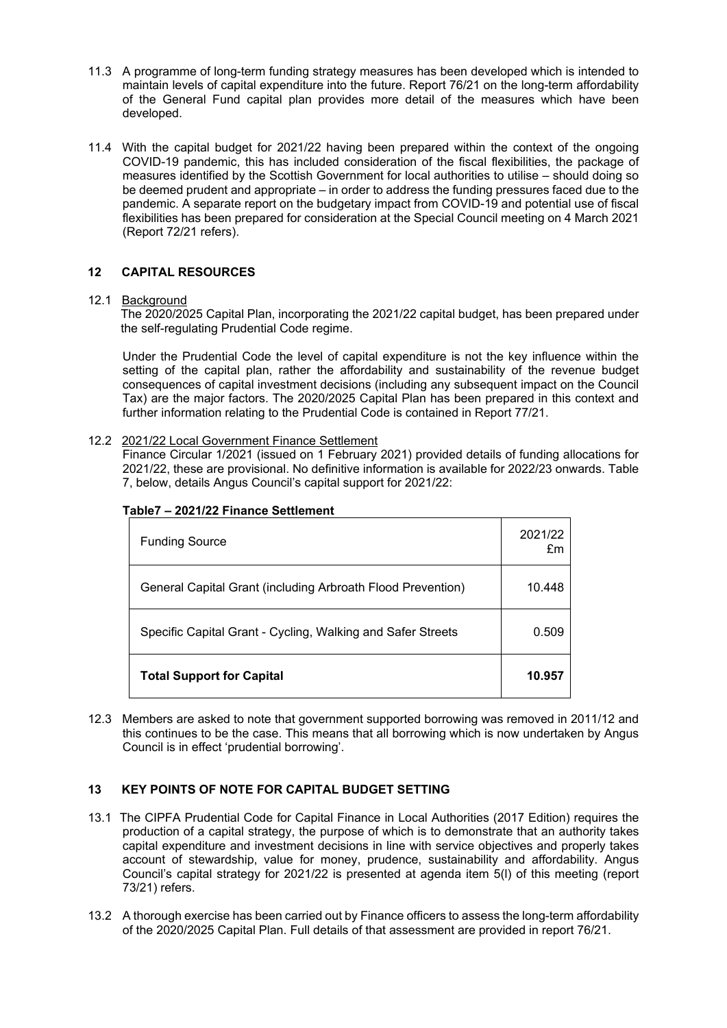- 11.3 A programme of long-term funding strategy measures has been developed which is intended to maintain levels of capital expenditure into the future. Report 76/21 on the long-term affordability of the General Fund capital plan provides more detail of the measures which have been developed.
- 11.4 With the capital budget for 2021/22 having been prepared within the context of the ongoing COVID-19 pandemic, this has included consideration of the fiscal flexibilities, the package of measures identified by the Scottish Government for local authorities to utilise – should doing so be deemed prudent and appropriate – in order to address the funding pressures faced due to the pandemic. A separate report on the budgetary impact from COVID-19 and potential use of fiscal flexibilities has been prepared for consideration at the Special Council meeting on 4 March 2021 (Report 72/21 refers).

# **12 CAPITAL RESOURCES**

## 12.1 Background

The 2020/2025 Capital Plan, incorporating the 2021/22 capital budget, has been prepared under the self-regulating Prudential Code regime.

Under the Prudential Code the level of capital expenditure is not the key influence within the setting of the capital plan, rather the affordability and sustainability of the revenue budget consequences of capital investment decisions (including any subsequent impact on the Council Tax) are the major factors. The 2020/2025 Capital Plan has been prepared in this context and further information relating to the Prudential Code is contained in Report 77/21.

## 12.2 2021/22 Local Government Finance Settlement

Finance Circular 1/2021 (issued on 1 February 2021) provided details of funding allocations for 2021/22, these are provisional. No definitive information is available for 2022/23 onwards. Table 7, below, details Angus Council's capital support for 2021/22:

| <b>Funding Source</b>                                       | 2021/22<br>£m |
|-------------------------------------------------------------|---------------|
| General Capital Grant (including Arbroath Flood Prevention) | 10.448        |
| Specific Capital Grant - Cycling, Walking and Safer Streets | 0.509         |
| <b>Total Support for Capital</b>                            | 10.957        |

# **Table7 – 2021/22 Finance Settlement**

12.3 Members are asked to note that government supported borrowing was removed in 2011/12 and this continues to be the case. This means that all borrowing which is now undertaken by Angus Council is in effect 'prudential borrowing'.

# **13 KEY POINTS OF NOTE FOR CAPITAL BUDGET SETTING**

- 13.1 The CIPFA Prudential Code for Capital Finance in Local Authorities (2017 Edition) requires the production of a capital strategy, the purpose of which is to demonstrate that an authority takes capital expenditure and investment decisions in line with service objectives and properly takes account of stewardship, value for money, prudence, sustainability and affordability. Angus Council's capital strategy for 2021/22 is presented at agenda item 5(l) of this meeting (report 73/21) refers.
- 13.2 A thorough exercise has been carried out by Finance officers to assess the long-term affordability of the 2020/2025 Capital Plan. Full details of that assessment are provided in report 76/21.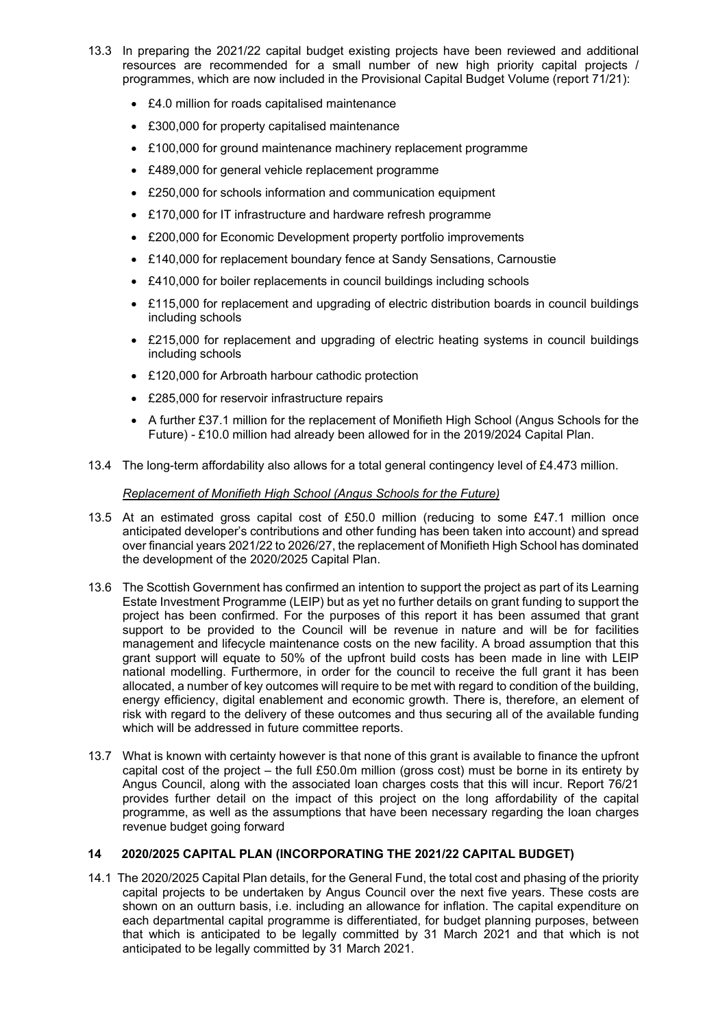- 13.3 In preparing the 2021/22 capital budget existing projects have been reviewed and additional resources are recommended for a small number of new high priority capital projects / programmes, which are now included in the Provisional Capital Budget Volume (report 71/21):
	- £4.0 million for roads capitalised maintenance
	- £300,000 for property capitalised maintenance
	- £100,000 for ground maintenance machinery replacement programme
	- £489,000 for general vehicle replacement programme
	- £250,000 for schools information and communication equipment
	- £170,000 for IT infrastructure and hardware refresh programme
	- £200,000 for Economic Development property portfolio improvements
	- £140,000 for replacement boundary fence at Sandy Sensations, Carnoustie
	- £410,000 for boiler replacements in council buildings including schools
	- £115,000 for replacement and upgrading of electric distribution boards in council buildings including schools
	- £215,000 for replacement and upgrading of electric heating systems in council buildings including schools
	- £120,000 for Arbroath harbour cathodic protection
	- £285,000 for reservoir infrastructure repairs
	- A further £37.1 million for the replacement of Monifieth High School (Angus Schools for the Future) - £10.0 million had already been allowed for in the 2019/2024 Capital Plan.
- 13.4 The long-term affordability also allows for a total general contingency level of £4.473 million.

## *Replacement of Monifieth High School (Angus Schools for the Future)*

- 13.5 At an estimated gross capital cost of £50.0 million (reducing to some £47.1 million once anticipated developer's contributions and other funding has been taken into account) and spread over financial years 2021/22 to 2026/27, the replacement of Monifieth High School has dominated the development of the 2020/2025 Capital Plan.
- 13.6 The Scottish Government has confirmed an intention to support the project as part of its Learning Estate Investment Programme (LEIP) but as yet no further details on grant funding to support the project has been confirmed. For the purposes of this report it has been assumed that grant support to be provided to the Council will be revenue in nature and will be for facilities management and lifecycle maintenance costs on the new facility. A broad assumption that this grant support will equate to 50% of the upfront build costs has been made in line with LEIP national modelling. Furthermore, in order for the council to receive the full grant it has been allocated, a number of key outcomes will require to be met with regard to condition of the building, energy efficiency, digital enablement and economic growth. There is, therefore, an element of risk with regard to the delivery of these outcomes and thus securing all of the available funding which will be addressed in future committee reports.
- 13.7 What is known with certainty however is that none of this grant is available to finance the upfront capital cost of the project – the full £50.0m million (gross cost) must be borne in its entirety by Angus Council, along with the associated loan charges costs that this will incur. Report 76/21 provides further detail on the impact of this project on the long affordability of the capital programme, as well as the assumptions that have been necessary regarding the loan charges revenue budget going forward

# **14 2020/2025 CAPITAL PLAN (INCORPORATING THE 2021/22 CAPITAL BUDGET)**

14.1 The 2020/2025 Capital Plan details, for the General Fund, the total cost and phasing of the priority capital projects to be undertaken by Angus Council over the next five years. These costs are shown on an outturn basis, i.e. including an allowance for inflation. The capital expenditure on each departmental capital programme is differentiated, for budget planning purposes, between that which is anticipated to be legally committed by 31 March 2021 and that which is not anticipated to be legally committed by 31 March 2021.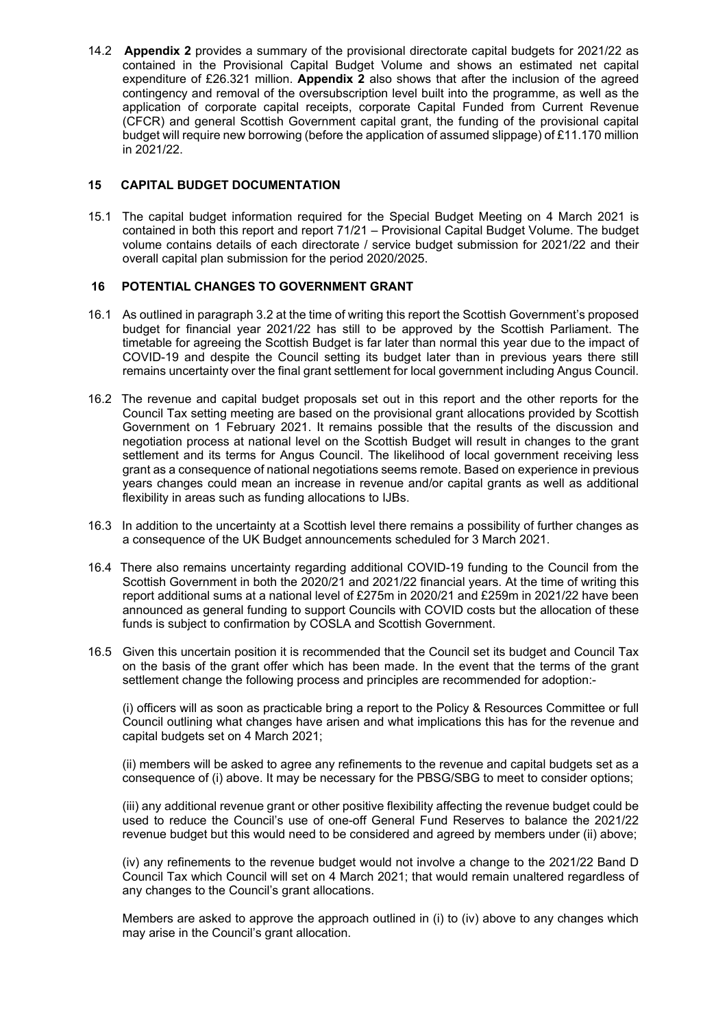14.2 **Appendix 2** provides a summary of the provisional directorate capital budgets for 2021/22 as contained in the Provisional Capital Budget Volume and shows an estimated net capital expenditure of £26.321 million. **Appendix 2** also shows that after the inclusion of the agreed contingency and removal of the oversubscription level built into the programme, as well as the application of corporate capital receipts, corporate Capital Funded from Current Revenue (CFCR) and general Scottish Government capital grant, the funding of the provisional capital budget will require new borrowing (before the application of assumed slippage) of £11.170 million in 2021/22.

# **15 CAPITAL BUDGET DOCUMENTATION**

15.1 The capital budget information required for the Special Budget Meeting on 4 March 2021 is contained in both this report and report 71/21 – Provisional Capital Budget Volume. The budget volume contains details of each directorate / service budget submission for 2021/22 and their overall capital plan submission for the period 2020/2025.

## **16 POTENTIAL CHANGES TO GOVERNMENT GRANT**

- 16.1 As outlined in paragraph 3.2 at the time of writing this report the Scottish Government's proposed budget for financial year 2021/22 has still to be approved by the Scottish Parliament. The timetable for agreeing the Scottish Budget is far later than normal this year due to the impact of COVID-19 and despite the Council setting its budget later than in previous years there still remains uncertainty over the final grant settlement for local government including Angus Council.
- 16.2 The revenue and capital budget proposals set out in this report and the other reports for the Council Tax setting meeting are based on the provisional grant allocations provided by Scottish Government on 1 February 2021. It remains possible that the results of the discussion and negotiation process at national level on the Scottish Budget will result in changes to the grant settlement and its terms for Angus Council. The likelihood of local government receiving less grant as a consequence of national negotiations seems remote. Based on experience in previous years changes could mean an increase in revenue and/or capital grants as well as additional flexibility in areas such as funding allocations to IJBs.
- 16.3 In addition to the uncertainty at a Scottish level there remains a possibility of further changes as a consequence of the UK Budget announcements scheduled for 3 March 2021.
- 16.4 There also remains uncertainty regarding additional COVID-19 funding to the Council from the Scottish Government in both the 2020/21 and 2021/22 financial years. At the time of writing this report additional sums at a national level of £275m in 2020/21 and £259m in 2021/22 have been announced as general funding to support Councils with COVID costs but the allocation of these funds is subject to confirmation by COSLA and Scottish Government.
- 16.5 Given this uncertain position it is recommended that the Council set its budget and Council Tax on the basis of the grant offer which has been made. In the event that the terms of the grant settlement change the following process and principles are recommended for adoption:-

(i) officers will as soon as practicable bring a report to the Policy & Resources Committee or full Council outlining what changes have arisen and what implications this has for the revenue and capital budgets set on 4 March 2021;

(ii) members will be asked to agree any refinements to the revenue and capital budgets set as a consequence of (i) above. It may be necessary for the PBSG/SBG to meet to consider options;

(iii) any additional revenue grant or other positive flexibility affecting the revenue budget could be used to reduce the Council's use of one-off General Fund Reserves to balance the 2021/22 revenue budget but this would need to be considered and agreed by members under (ii) above;

(iv) any refinements to the revenue budget would not involve a change to the 2021/22 Band D Council Tax which Council will set on 4 March 2021; that would remain unaltered regardless of any changes to the Council's grant allocations.

Members are asked to approve the approach outlined in (i) to (iv) above to any changes which may arise in the Council's grant allocation.